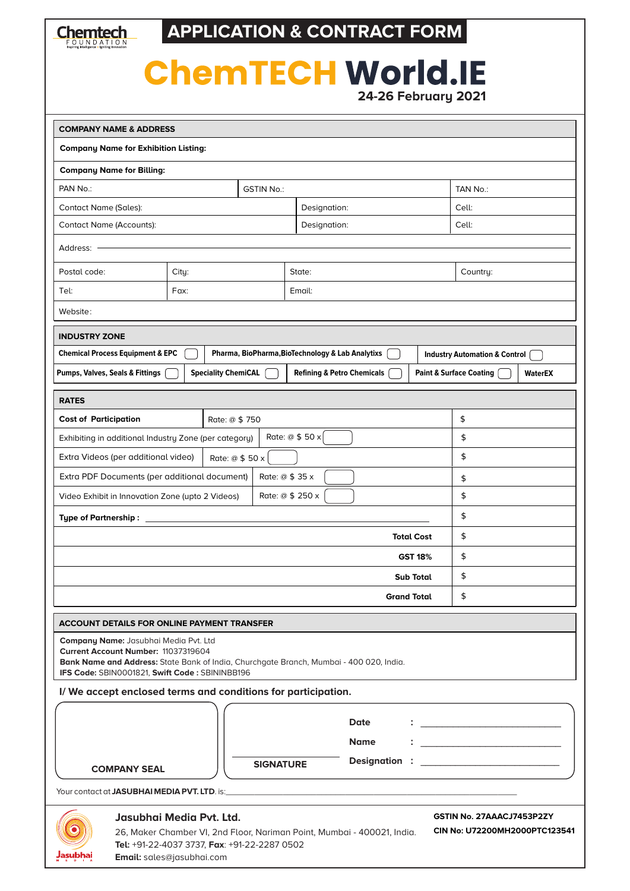

**APPLICATION & CONTRACT FORM**

## **ChemTECH World.IE 24-26 February 2021**

| <b>COMPANY NAME &amp; ADDRESS</b>                                                                                                                                                                                 |                   |                  |                                       |             |    |                                                                                                                                                                                                                                      |                |
|-------------------------------------------------------------------------------------------------------------------------------------------------------------------------------------------------------------------|-------------------|------------------|---------------------------------------|-------------|----|--------------------------------------------------------------------------------------------------------------------------------------------------------------------------------------------------------------------------------------|----------------|
| <b>Company Name for Exhibition Listing:</b>                                                                                                                                                                       |                   |                  |                                       |             |    |                                                                                                                                                                                                                                      |                |
| <b>Company Name for Billing:</b>                                                                                                                                                                                  |                   |                  |                                       |             |    |                                                                                                                                                                                                                                      |                |
| PAN No.:                                                                                                                                                                                                          | <b>GSTIN No.:</b> |                  |                                       |             |    | TAN No.:                                                                                                                                                                                                                             |                |
| <b>Contact Name (Sales):</b>                                                                                                                                                                                      | Designation:      |                  |                                       | Cell:       |    |                                                                                                                                                                                                                                      |                |
| <b>Contact Name (Accounts):</b>                                                                                                                                                                                   |                   | Designation:     |                                       | Cell:       |    |                                                                                                                                                                                                                                      |                |
|                                                                                                                                                                                                                   |                   |                  |                                       |             |    |                                                                                                                                                                                                                                      |                |
| Address:                                                                                                                                                                                                          |                   |                  |                                       |             |    |                                                                                                                                                                                                                                      |                |
| Postal code:                                                                                                                                                                                                      | City:             |                  | State:                                |             |    | Country:                                                                                                                                                                                                                             |                |
| Tel:                                                                                                                                                                                                              | Fax:              |                  | Email:                                |             |    |                                                                                                                                                                                                                                      |                |
| Website:                                                                                                                                                                                                          |                   |                  |                                       |             |    |                                                                                                                                                                                                                                      |                |
| <b>INDUSTRY ZONE</b>                                                                                                                                                                                              |                   |                  |                                       |             |    |                                                                                                                                                                                                                                      |                |
| Pharma, BioPharma, BioTechnology & Lab Analytixs<br><b>Chemical Process Equipment &amp; EPC</b><br><b>Industry Automation &amp; Control</b>                                                                       |                   |                  |                                       |             |    |                                                                                                                                                                                                                                      |                |
| <b>Speciality ChemiCAL</b><br><b>Pumps, Valves, Seals &amp; Fittings</b>                                                                                                                                          |                   |                  | <b>Refining &amp; Petro Chemicals</b> |             |    | <b>Paint &amp; Surface Coating</b>                                                                                                                                                                                                   | <b>WaterEX</b> |
| <b>RATES</b>                                                                                                                                                                                                      |                   |                  |                                       |             |    |                                                                                                                                                                                                                                      |                |
| <b>Cost of Participation</b><br>Rate: @ \$750                                                                                                                                                                     |                   |                  |                                       |             |    | \$                                                                                                                                                                                                                                   |                |
| Exhibiting in additional Industry Zone (per category)                                                                                                                                                             |                   |                  | Rate: @ \$ 50 x                       |             |    | \$                                                                                                                                                                                                                                   |                |
| Extra Videos (per additional video)<br>Rate: @ \$ 50 x                                                                                                                                                            |                   |                  |                                       |             | \$ |                                                                                                                                                                                                                                      |                |
| Extra PDF Documents (per additional document)<br>Rate: $@$ \$ 35 x                                                                                                                                                |                   |                  |                                       |             | \$ |                                                                                                                                                                                                                                      |                |
| Rate: @ \$ 250 x<br>Video Exhibit in Innovation Zone (upto 2 Videos)                                                                                                                                              |                   |                  |                                       |             |    | \$                                                                                                                                                                                                                                   |                |
| Type of Partnership: _____                                                                                                                                                                                        |                   |                  |                                       |             |    | \$                                                                                                                                                                                                                                   |                |
| <b>Total Cost</b>                                                                                                                                                                                                 |                   |                  |                                       |             |    | \$                                                                                                                                                                                                                                   |                |
| <b>GST 18%</b>                                                                                                                                                                                                    |                   |                  |                                       |             |    | \$                                                                                                                                                                                                                                   |                |
| <b>Sub Total</b>                                                                                                                                                                                                  |                   |                  |                                       |             |    | \$                                                                                                                                                                                                                                   |                |
| <b>Grand Total</b>                                                                                                                                                                                                |                   |                  |                                       |             |    | \$                                                                                                                                                                                                                                   |                |
|                                                                                                                                                                                                                   |                   |                  |                                       |             |    |                                                                                                                                                                                                                                      |                |
| <b>ACCOUNT DETAILS FOR ONLINE PAYMENT TRANSFER</b>                                                                                                                                                                |                   |                  |                                       |             |    |                                                                                                                                                                                                                                      |                |
| Company Name: Jasubhai Media Pvt. Ltd<br>Current Account Number: 11037319604                                                                                                                                      |                   |                  |                                       |             |    |                                                                                                                                                                                                                                      |                |
| Bank Name and Address: State Bank of India, Churchgate Branch, Mumbai - 400 020, India.<br>IFS Code: SBIN0001821, Swift Code: SBININBB196                                                                         |                   |                  |                                       |             |    |                                                                                                                                                                                                                                      |                |
| I/We accept enclosed terms and conditions for participation.                                                                                                                                                      |                   |                  |                                       |             |    |                                                                                                                                                                                                                                      |                |
|                                                                                                                                                                                                                   |                   |                  |                                       |             |    |                                                                                                                                                                                                                                      |                |
|                                                                                                                                                                                                                   | Date              |                  |                                       |             |    | <u> 1989 - Jan Stein Stein Stein Stein Stein Stein Stein Stein Stein Stein Stein Stein Stein Stein Stein Stein Stein Stein Stein Stein Stein Stein Stein Stein Stein Stein Stein Stein Stein Stein Stein Stein Stein Stein Stein</u> |                |
|                                                                                                                                                                                                                   |                   |                  |                                       | <b>Name</b> |    |                                                                                                                                                                                                                                      |                |
| <b>COMPANY SEAL</b>                                                                                                                                                                                               |                   | <b>SIGNATURE</b> |                                       |             |    |                                                                                                                                                                                                                                      |                |
|                                                                                                                                                                                                                   |                   |                  |                                       |             |    |                                                                                                                                                                                                                                      |                |
| Your contact at <b>JASUBHAI MEDIA PVT. LTD</b> . is: <b>All and the contract of the contract of ASUBHAI MEDIA PVT. LTD</b> . is:                                                                                  |                   |                  |                                       |             |    |                                                                                                                                                                                                                                      |                |
| GSTIN No. 27AAACJ7453P2ZY<br>Jasubhai Media Pyt. Ltd.<br>CIN No: U72200MH2000PTC123541<br>26, Maker Chamber VI, 2nd Floor, Nariman Point, Mumbai - 400021, India.<br>Tel: +91-22-4037 3737, Fax: +91-22-2287 0502 |                   |                  |                                       |             |    |                                                                                                                                                                                                                                      |                |

**Email:** sales@jasubhai.com

**Jasubhai**